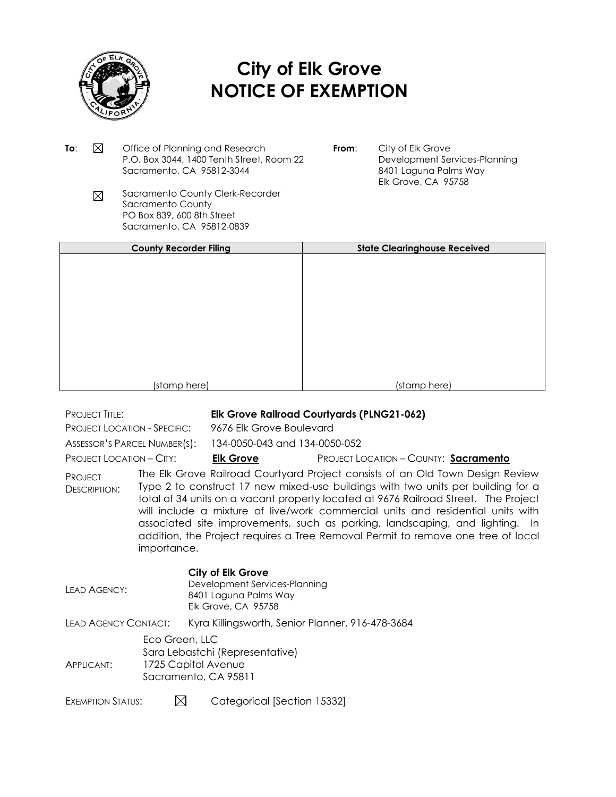

# **City of Elk Grove NOTICE OF EXEMPTION**

- **To:**  $\boxtimes$  Office of Planning and Research P.O. Box 3044, 1400 Tenth Street, Room 22 Sacramento, CA 95812-3044
- **From:** City of Elk Grove Development Services-Planning 8401 Laguna Palms Way Elk Grove, CA 95758
- Sacramento County Clerk-Recorder  $\boxtimes$ Sacramento County PO Box 839, 600 8th Street Sacramento, CA 95812-0839

| <b>County Recorder Filing</b> | <b>State Clearinghouse Received</b> |
|-------------------------------|-------------------------------------|
|                               |                                     |
|                               |                                     |
|                               |                                     |
|                               |                                     |
|                               |                                     |
|                               |                                     |
|                               |                                     |
|                               |                                     |
|                               |                                     |
|                               |                                     |
| (stamp here)                  | (stamp here)                        |

## PROJECT TITLE: **Elk Grove Railroad Courtyards (PLNG21-062)**

PROJECT LOCATION - SPECIFIC: 9676 Elk Grove Boulevard

| <b>ASSESSOR'S PARCEL NUMBER(S</b> |  |
|-----------------------------------|--|
|                                   |  |

s): 134-0050-043 and 134-0050-052

## PROJECT LOCATION – CITY: **Elk Grove** PROJECT LOCATION – COUNTY: **Sacramento**

PROJECT DESCRIPTION: The Elk Grove Railroad Courtyard Project consists of an Old Town Design Review Type 2 to construct 17 new mixed-use buildings with two units per building for a total of 34 units on a vacant property located at 9676 Railroad Street. The Project will include a mixture of live/work commercial units and residential units with associated site improvements, such as parking, landscaping, and lighting. In addition, the Project requires a Tree Removal Permit to remove one tree of local importance.

#### **City of Elk Grove**

| LEAD AGENCY:         |                                                                                                  | Development Services-Planning<br>8401 Laguna Palms Way<br>Elk Grove, CA 95758 |
|----------------------|--------------------------------------------------------------------------------------------------|-------------------------------------------------------------------------------|
| LEAD AGENCY CONTACT: |                                                                                                  | Kyra Killingsworth, Senior Planner, 916-478-3684                              |
| APPLICANT:           | Eco Green, LLC<br>Sara Lebastchi (Representative)<br>1725 Capitol Avenue<br>Sacramento, CA 95811 |                                                                               |

EXEMPTION STATUS:  $\boxtimes$  Categorical [Section 15332]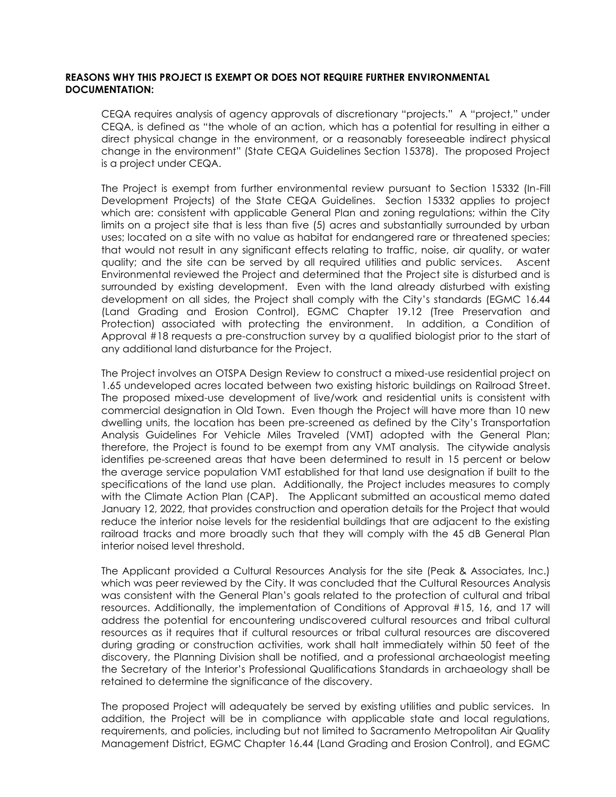#### **REASONS WHY THIS PROJECT IS EXEMPT OR DOES NOT REQUIRE FURTHER ENVIRONMENTAL DOCUMENTATION:**

CEQA requires analysis of agency approvals of discretionary "projects." A "project," under CEQA, is defined as "the whole of an action, which has a potential for resulting in either a direct physical change in the environment, or a reasonably foreseeable indirect physical change in the environment" (State CEQA Guidelines Section 15378). The proposed Project is a project under CEQA.

The Project is exempt from further environmental review pursuant to Section 15332 (In-Fill Development Projects) of the State CEQA Guidelines. Section 15332 applies to project which are: consistent with applicable General Plan and zoning regulations; within the City limits on a project site that is less than five (5) acres and substantially surrounded by urban uses; located on a site with no value as habitat for endangered rare or threatened species; that would not result in any significant effects relating to traffic, noise, air quality, or water quality; and the site can be served by all required utilities and public services. Ascent Environmental reviewed the Project and determined that the Project site is disturbed and is surrounded by existing development. Even with the land already disturbed with existing development on all sides, the Project shall comply with the City's standards (EGMC 16.44 (Land Grading and Erosion Control), EGMC Chapter 19.12 (Tree Preservation and Protection) associated with protecting the environment. In addition, a Condition of Approval #18 requests a pre-construction survey by a qualified biologist prior to the start of any additional land disturbance for the Project.

The Project involves an OTSPA Design Review to construct a mixed-use residential project on 1.65 undeveloped acres located between two existing historic buildings on Railroad Street. The proposed mixed-use development of live/work and residential units is consistent with commercial designation in Old Town. Even though the Project will have more than 10 new dwelling units, the location has been pre-screened as defined by the City's Transportation Analysis Guidelines For Vehicle Miles Traveled (VMT) adopted with the General Plan; therefore, the Project is found to be exempt from any VMT analysis. The citywide analysis identifies pe-screened areas that have been determined to result in 15 percent or below the average service population VMT established for that land use designation if built to the specifications of the land use plan. Additionally, the Project includes measures to comply with the Climate Action Plan (CAP). The Applicant submitted an acoustical memo dated January 12, 2022, that provides construction and operation details for the Project that would reduce the interior noise levels for the residential buildings that are adjacent to the existing railroad tracks and more broadly such that they will comply with the 45 dB General Plan interior noised level threshold.

The Applicant provided a Cultural Resources Analysis for the site (Peak & Associates, Inc.) which was peer reviewed by the City. It was concluded that the Cultural Resources Analysis was consistent with the General Plan's goals related to the protection of cultural and tribal resources. Additionally, the implementation of Conditions of Approval #15, 16, and 17 will address the potential for encountering undiscovered cultural resources and tribal cultural resources as it requires that if cultural resources or tribal cultural resources are discovered during grading or construction activities, work shall halt immediately within 50 feet of the discovery, the Planning Division shall be notified, and a professional archaeologist meeting the Secretary of the Interior's Professional Qualifications Standards in archaeology shall be retained to determine the significance of the discovery.

The proposed Project will adequately be served by existing utilities and public services. In addition, the Project will be in compliance with applicable state and local regulations, requirements, and policies, including but not limited to Sacramento Metropolitan Air Quality Management District, EGMC Chapter 16.44 (Land Grading and Erosion Control), and EGMC